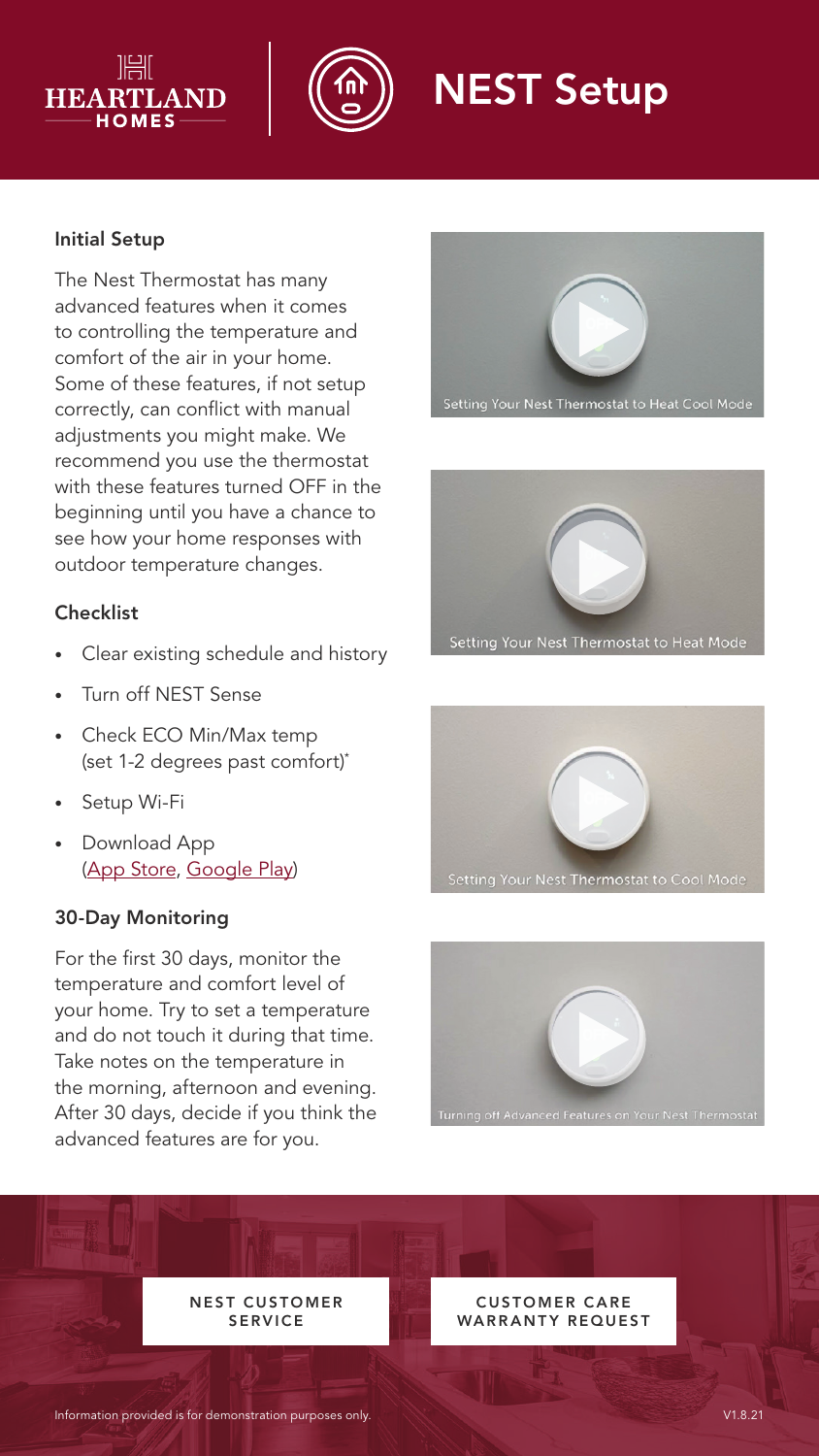



# NEST Setup

## Initial Setup

The Nest Thermostat has many advanced features when it comes to controlling the temperature and comfort of the air in your home. Some of these features, if not setup correctly, can conflict with manual adjustments you might make. We recommend you use the thermostat with these features turned OFF in the beginning until you have a chance to see how your home responses with outdoor temperature changes.

## **Checklist**

- Clear existing schedule and history
- Turn off NEST Sense
- Check ECO Min/Max temp (set 1-2 degrees past comfort)\*
- Setup Wi-Fi
- Download App ([App Store,](https://wecare.heartlandluxuryhomes.com/pdf-nest-app-apple) [Google Play](https://wecare.heartlandluxuryhomes.com/pdf-nest-app-google))

### 30-Day Monitoring

For the first 30 days, monitor the temperature and comfort level of your home. Try to set a temperature and do not touch it during that time. Take notes on the temperature in the morning, afternoon and evening. After 30 days, decide if you think the advanced features are for you.









**NEST CUSTOMER** SERVICE

**CUSTOMER CARE** WARRANTY REQUEST